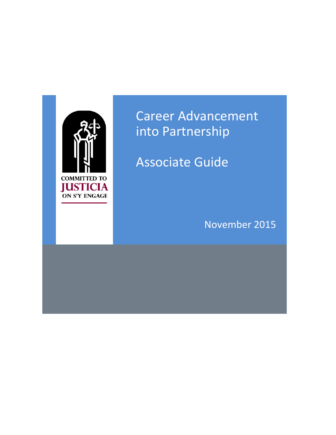

# Career Advancement into Partnership

Associate Guide

November 2015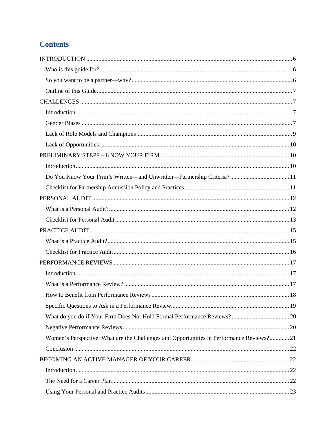# **Contents**

| Women's Perspective: What are the Challenges and Opportunities in Performance Reviews?21 |  |
|------------------------------------------------------------------------------------------|--|
|                                                                                          |  |
|                                                                                          |  |
|                                                                                          |  |
|                                                                                          |  |
|                                                                                          |  |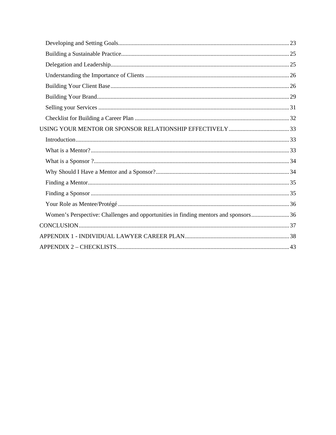| Women's Perspective: Challenges and opportunities in finding mentors and sponsors36 |  |
|-------------------------------------------------------------------------------------|--|
|                                                                                     |  |
|                                                                                     |  |
|                                                                                     |  |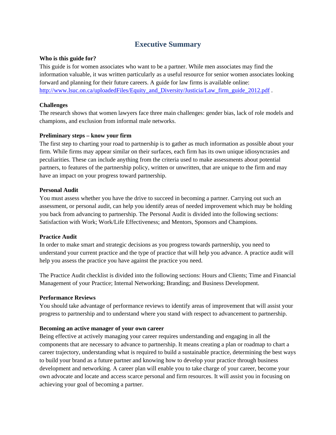# **Executive Summary**

#### **Who is this guide for?**

This guide is for women associates who want to be a partner. While men associates may find the information valuable, it was written particularly as a useful resource for senior women associates looking forward and planning for their future careers. A guide for law firms is available online: http://www.lsuc.on.ca/uploadedFiles/Equity\_and\_Diversity/Justicia/Law\_firm\_guide\_2012.pdf .

#### **Challenges**

The research shows that women lawyers face three main challenges: gender bias, lack of role models and champions, and exclusion from informal male networks.

#### **Preliminary steps – know your firm**

The first step to charting your road to partnership is to gather as much information as possible about your firm. While firms may appear similar on their surfaces, each firm has its own unique idiosyncrasies and peculiarities. These can include anything from the criteria used to make assessments about potential partners, to features of the partnership policy, written or unwritten, that are unique to the firm and may have an impact on your progress toward partnership.

#### **Personal Audit**

You must assess whether you have the drive to succeed in becoming a partner. Carrying out such an assessment, or personal audit, can help you identify areas of needed improvement which may be holding you back from advancing to partnership. The Personal Audit is divided into the following sections: Satisfaction with Work; Work/Life Effectiveness; and Mentors, Sponsors and Champions.

## **Practice Audit**

In order to make smart and strategic decisions as you progress towards partnership, you need to understand your current practice and the type of practice that will help you advance. A practice audit will help you assess the practice you have against the practice you need.

The Practice Audit checklist is divided into the following sections: Hours and Clients; Time and Financial Management of your Practice; Internal Networking; Branding; and Business Development.

## **Performance Reviews**

You should take advantage of performance reviews to identify areas of improvement that will assist your progress to partnership and to understand where you stand with respect to advancement to partnership.

#### **Becoming an active manager of your own career**

Being effective at actively managing your career requires understanding and engaging in all the components that are necessary to advance to partnership. It means creating a plan or roadmap to chart a career trajectory, understanding what is required to build a sustainable practice, determining the best ways to build your brand as a future partner and knowing how to develop your practice through business development and networking. A career plan will enable you to take charge of your career, become your own advocate and locate and access scarce personal and firm resources. It will assist you in focusing on achieving your goal of becoming a partner.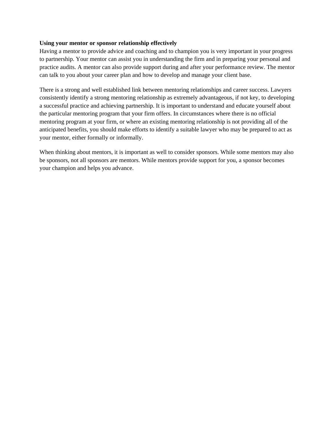#### **Using your mentor or sponsor relationship effectively**

Having a mentor to provide advice and coaching and to champion you is very important in your progress to partnership. Your mentor can assist you in understanding the firm and in preparing your personal and practice audits. A mentor can also provide support during and after your performance review. The mentor can talk to you about your career plan and how to develop and manage your client base.

There is a strong and well established link between mentoring relationships and career success. Lawyers consistently identify a strong mentoring relationship as extremely advantageous, if not key, to developing a successful practice and achieving partnership. It is important to understand and educate yourself about the particular mentoring program that your firm offers. In circumstances where there is no official mentoring program at your firm, or where an existing mentoring relationship is not providing all of the anticipated benefits, you should make efforts to identify a suitable lawyer who may be prepared to act as your mentor, either formally or informally.

When thinking about mentors, it is important as well to consider sponsors. While some mentors may also be sponsors, not all sponsors are mentors. While mentors provide support for you, a sponsor becomes your champion and helps you advance.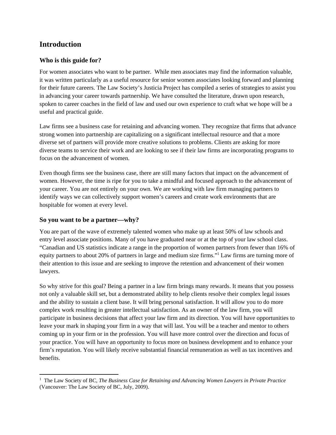# **Introduction**

## **Who is this guide for?**

For women associates who want to be partner. While men associates may find the information valuable, it was written particularly as a useful resource for senior women associates looking forward and planning for their future careers. The Law Society's Justicia Project has compiled a series of strategies to assist you in advancing your career towards partnership. We have consulted the literature, drawn upon research, spoken to career coaches in the field of law and used our own experience to craft what we hope will be a useful and practical guide.

Law firms see a business case for retaining and advancing women. They recognize that firms that advance strong women into partnership are capitalizing on a significant intellectual resource and that a more diverse set of partners will provide more creative solutions to problems. Clients are asking for more diverse teams to service their work and are looking to see if their law firms are incorporating programs to focus on the advancement of women.

Even though firms see the business case, there are still many factors that impact on the advancement of women. However, the time is ripe for you to take a mindful and focused approach to the advancement of your career. You are not entirely on your own. We are working with law firm managing partners to identify ways we can collectively support women's careers and create work environments that are hospitable for women at every level.

## **So you want to be a partner—why?**

You are part of the wave of extremely talented women who make up at least 50% of law schools and entry level associate positions. Many of you have graduated near or at the top of your law school class. "Canadian and US statistics indicate a range in the proportion of women partners from fewer than 16% of equity partners to about 20% of partners in large and medium size firms."<sup>1</sup> Law firms are turning more of their attention to this issue and are seeking to improve the retention and advancement of their women lawyers.

So why strive for this goal? Being a partner in a law firm brings many rewards. It means that you possess not only a valuable skill set, but a demonstrated ability to help clients resolve their complex legal issues and the ability to sustain a client base. It will bring personal satisfaction. It will allow you to do more complex work resulting in greater intellectual satisfaction. As an owner of the law firm, you will participate in business decisions that affect your law firm and its direction. You will have opportunities to leave your mark in shaping your firm in a way that will last. You will be a teacher and mentor to others coming up in your firm or in the profession. You will have more control over the direction and focus of your practice. You will have an opportunity to focus more on business development and to enhance your firm's reputation. You will likely receive substantial financial remuneration as well as tax incentives and benefits.

 1 The Law Society of BC, *The Business Case for Retaining and Advancing Women Lawyers in Private Practice* (Vancouver: The Law Society of BC, July, 2009).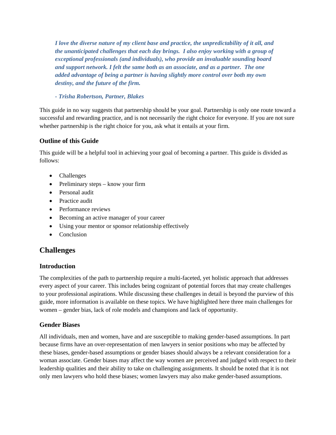*I love the diverse nature of my client base and practice, the unpredictability of it all, and the unanticipated challenges that each day brings. I also enjoy working with a group of exceptional professionals (and individuals), who provide an invaluable sounding board and support network. I felt the same both as an associate, and as a partner. The one added advantage of being a partner is having slightly more control over both my own destiny, and the future of the firm.* 

*- Trisha Robertson, Partner, Blakes* 

This guide in no way suggests that partnership should be your goal. Partnership is only one route toward a successful and rewarding practice, and is not necessarily the right choice for everyone. If you are not sure whether partnership is the right choice for you, ask what it entails at your firm.

## **Outline of this Guide**

This guide will be a helpful tool in achieving your goal of becoming a partner. This guide is divided as follows:

- Challenges
- Preliminary steps know your firm
- Personal audit
- **•** Practice audit
- Performance reviews
- Becoming an active manager of your career
- Using your mentor or sponsor relationship effectively
- Conclusion

## **Challenges**

## **Introduction**

The complexities of the path to partnership require a multi-faceted, yet holistic approach that addresses every aspect of your career. This includes being cognizant of potential forces that may create challenges to your professional aspirations. While discussing these challenges in detail is beyond the purview of this guide, more information is available on these topics. We have highlighted here three main challenges for women – gender bias, lack of role models and champions and lack of opportunity.

## **Gender Biases**

All individuals, men and women, have and are susceptible to making gender-based assumptions. In part because firms have an over-representation of men lawyers in senior positions who may be affected by these biases, gender-based assumptions or gender biases should always be a relevant consideration for a woman associate. Gender biases may affect the way women are perceived and judged with respect to their leadership qualities and their ability to take on challenging assignments. It should be noted that it is not only men lawyers who hold these biases; women lawyers may also make gender-based assumptions.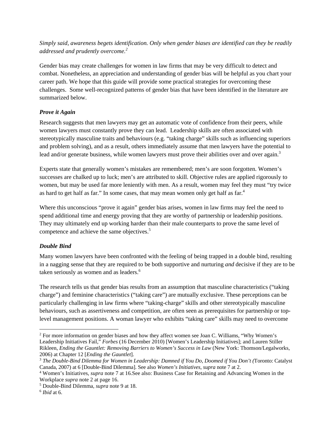*Simply said, awareness begets identification. Only when gender biases are identified can they be readily addressed and prudently overcome.<sup>2</sup>*

Gender bias may create challenges for women in law firms that may be very difficult to detect and combat. Nonetheless, an appreciation and understanding of gender bias will be helpful as you chart your career path. We hope that this guide will provide some practical strategies for overcoming these challenges. Some well-recognized patterns of gender bias that have been identified in the literature are summarized below.

## *Prove it Again*

Research suggests that men lawyers may get an automatic vote of confidence from their peers, while women lawyers must constantly prove they can lead. Leadership skills are often associated with stereotypically masculine traits and behaviours (e.g. "taking charge" skills such as influencing superiors and problem solving), and as a result, others immediately assume that men lawyers have the potential to lead and/or generate business, while women lawyers must prove their abilities over and over again.<sup>3</sup>

Experts state that generally women's mistakes are remembered; men's are soon forgotten. Women's successes are chalked up to luck; men's are attributed to skill. Objective rules are applied rigorously to women, but may be used far more leniently with men. As a result, women may feel they must "try twice as hard to get half as far." In some cases, that may mean women only get half as far.<sup>4</sup>

Where this unconscious "prove it again" gender bias arises, women in law firms may feel the need to spend additional time and energy proving that they are worthy of partnership or leadership positions. They may ultimately end up working harder than their male counterparts to prove the same level of competence and achieve the same objectives.<sup>5</sup>

## *Double Bind*

Many women lawyers have been confronted with the feeling of being trapped in a double bind, resulting in a nagging sense that they are required to be both supportive and nurturing *and* decisive if they are to be taken seriously as women and as leaders.<sup>6</sup>

The research tells us that gender bias results from an assumption that masculine characteristics ("taking charge") and feminine characteristics ("taking care") are mutually exclusive. These perceptions can be particularly challenging in law firms where "taking-charge" skills and other stereotypically masculine behaviours, such as assertiveness and competition, are often seen as prerequisites for partnership or toplevel management positions. A woman lawyer who exhibits "taking care" skills may need to overcome

<sup>&</sup>lt;sup>2</sup> For more information on gender biases and how they affect women see Joan C. Williams, "Why Women's Leadership Initiatives Fail," *Forbes* (16 December 2010) [Women's Leadership Initiatives]; and Lauren Stiller Rikleen, *Ending the Gauntlet: Removing Barriers to Women's Success in Law* (New York: Thomson/Legalworks, 2006) at Chapter 12 [*Ending the Gauntlet*]. 3 *The Double-Bind Dilemma for Women in Leadership: Damned if You Do, Doomed if You Don't (*Toronto: Catalyst

Canada, 2007) at 6 [Double-Bind Dilemma]. See also *Women's Initiatives*, *supra* note 7 at 2. 4

Women's Initiatives*, supra* note 7 at 16.See also: Business Case for Retaining and Advancing Women in the Workplace *supra* note 2 at page 16.

Double-Bind Dilemma*, supra* note 9 at 18. 6 *Ibid* at 6.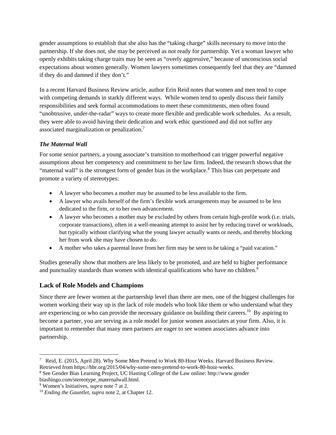gender assumptions to establish that she also has the "taking charge" skills necessary to move into the partnership. If she does not, she may be perceived as not ready for partnership. Yet a woman lawyer who openly exhibits taking charge traits may be seen as "overly aggressive," because of unconscious social expectations about women generally. Women lawyers sometimes consequently feel that they are "damned if they do and damned if they don't."

In a recent Harvard Business Review article, author Erin Reid notes that women and men tend to cope with competing demands in starkly different ways. While women tend to openly discuss their family responsibilities and seek formal accommodations to meet these commitments, men often found "unobtrusive, under-the-radar" ways to create more flexible and predicable work schedules. As a result, they were able to avoid having their dedication and work ethic questioned and did not suffer any associated marginalization or penalization.7

## *The Maternal Wall*

For some senior partners, a young associate's transition to motherhood can trigger powerful negative assumptions about her competency and commitment to her law firm. Indeed, the research shows that the "maternal wall" is the strongest form of gender bias in the workplace.<sup>8</sup> This bias can perpetuate and promote a variety of stereotypes:

- A lawyer who becomes a mother may be assumed to be less available to the firm.
- A lawyer who avails herself of the firm's flexible work arrangements may be assumed to be less dedicated to the firm, or to her own advancement.
- A lawyer who becomes a mother may be excluded by others from certain high-profile work (i.e. trials, corporate transactions), often in a well-meaning attempt to assist her by reducing travel or workloads, but typically without clarifying what the young lawyer actually wants or needs, and thereby blocking her from work she may have chosen to do.
- A mother who takes a parental leave from her firm may be seen to be taking a "paid vacation."

Studies generally show that mothers are less likely to be promoted, and are held to higher performance and punctuality standards than women with identical qualifications who have no children.<sup>9</sup>

## **Lack of Role Models and Champions**

Since there are fewer women at the partnership level than there are men, one of the biggest challenges for women working their way up is the lack of role models who look like them or who understand what they are experiencing or who can provide the necessary guidance on building their careers.<sup>10</sup> By aspiring to become a partner, you are serving as a role model for junior women associates at your firm. Also, it is important to remember that many men partners are eager to see women associates advance into partnership.

 7 Reid, E. (2015, April 28). Why Some Men Pretend to Work 80-Hour Weeks. Harvard Business Review. Retrieved from https://hbr.org/2015/04/why-some-men-pretend-to-work-80-hour-weeks.

See Gender Bias Learning Project, UC Hasting College of the Law online: http://www.gender biasbingo.com/stereotype\_maternalwall.html.

<sup>&</sup>lt;sup>9</sup> Women's Initiatives, *supra* note 7 at 2.

<sup>&</sup>lt;sup>10</sup> *Ending the Gauntlet, supra* note 2, at Chapter 12.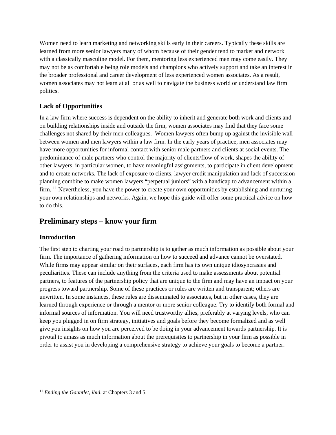Women need to learn marketing and networking skills early in their careers. Typically these skills are learned from more senior lawyers many of whom because of their gender tend to market and network with a classically masculine model. For them, mentoring less experienced men may come easily. They may not be as comfortable being role models and champions who actively support and take an interest in the broader professional and career development of less experienced women associates. As a result, women associates may not learn at all or as well to navigate the business world or understand law firm politics.

## **Lack of Opportunities**

In a law firm where success is dependent on the ability to inherit and generate both work and clients and on building relationships inside and outside the firm, women associates may find that they face some challenges not shared by their men colleagues. Women lawyers often bump up against the invisible wall between women and men lawyers within a law firm. In the early years of practice, men associates may have more opportunities for informal contact with senior male partners and clients at social events. The predominance of male partners who control the majority of clients/flow of work, shapes the ability of other lawyers, in particular women, to have meaningful assignments, to participate in client development and to create networks. The lack of exposure to clients, lawyer credit manipulation and lack of succession planning combine to make women lawyers "perpetual juniors" with a handicap to advancement within a firm.  $11$  Nevertheless, you have the power to create your own opportunities by establishing and nurturing your own relationships and networks. Again, we hope this guide will offer some practical advice on how to do this.

# **Preliminary steps – know your firm**

## **Introduction**

The first step to charting your road to partnership is to gather as much information as possible about your firm. The importance of gathering information on how to succeed and advance cannot be overstated. While firms may appear similar on their surfaces, each firm has its own unique idiosyncrasies and peculiarities. These can include anything from the criteria used to make assessments about potential partners, to features of the partnership policy that are unique to the firm and may have an impact on your progress toward partnership. Some of these practices or rules are written and transparent; others are unwritten. In some instances, these rules are disseminated to associates, but in other cases, they are learned through experience or through a mentor or more senior colleague. Try to identify both formal and informal sources of information. You will need trustworthy allies, preferably at varying levels, who can keep you plugged in on firm strategy, initiatives and goals before they become formalized and as well give you insights on how you are perceived to be doing in your advancement towards partnership. It is pivotal to amass as much information about the prerequisites to partnership in your firm as possible in order to assist you in developing a comprehensive strategy to achieve your goals to become a partner.

 <sup>11</sup> *Ending the Gauntlet, ibid*. at Chapters 3 and 5.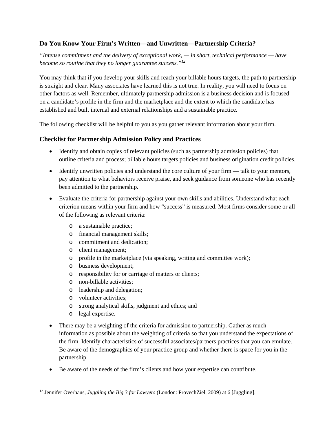## **Do You Know Your Firm's Written—and Unwritten—Partnership Criteria?**

*"Intense commitment and the delivery of exceptional work, — in short, technical performance — have become so routine that they no longer guarantee success."<sup>12</sup>*

You may think that if you develop your skills and reach your billable hours targets, the path to partnership is straight and clear. Many associates have learned this is not true. In reality, you will need to focus on other factors as well. Remember, ultimately partnership admission is a business decision and is focused on a candidate's profile in the firm and the marketplace and the extent to which the candidate has established and built internal and external relationships and a sustainable practice.

The following checklist will be helpful to you as you gather relevant information about your firm.

## **Checklist for Partnership Admission Policy and Practices**

- Identify and obtain copies of relevant policies (such as partnership admission policies) that outline criteria and process; billable hours targets policies and business origination credit policies.
- Identify unwritten policies and understand the core culture of your firm talk to your mentors, pay attention to what behaviors receive praise, and seek guidance from someone who has recently been admitted to the partnership.
- Evaluate the criteria for partnership against your own skills and abilities. Understand what each criterion means within your firm and how "success" is measured. Most firms consider some or all of the following as relevant criteria:
	- o a sustainable practice;
	- o financial management skills;
	- o commitment and dedication;
	- o client management;
	- o profile in the marketplace (via speaking, writing and committee work);
	- o business development;
	- o responsibility for or carriage of matters or clients;
	- o non-billable activities;
	- o leadership and delegation;
	- o volunteer activities;
	- o strong analytical skills, judgment and ethics; and
	- o legal expertise.
- There may be a weighting of the criteria for admission to partnership. Gather as much information as possible about the weighting of criteria so that you understand the expectations of the firm. Identify characteristics of successful associates/partners practices that you can emulate. Be aware of the demographics of your practice group and whether there is space for you in the partnership.
- Be aware of the needs of the firm's clients and how your expertise can contribute.

 12 Jennifer Overhaus, *Juggling the Big 3 for Lawyers* (London: ProvechZiel, 2009) at 6 [Juggling].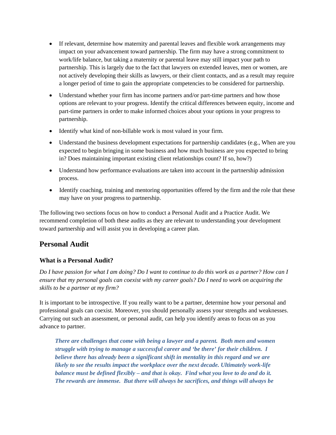- If relevant, determine how maternity and parental leaves and flexible work arrangements may impact on your advancement toward partnership. The firm may have a strong commitment to work/life balance, but taking a maternity or parental leave may still impact your path to partnership. This is largely due to the fact that lawyers on extended leaves, men or women, are not actively developing their skills as lawyers, or their client contacts, and as a result may require a longer period of time to gain the appropriate competencies to be considered for partnership.
- Understand whether your firm has income partners and/or part-time partners and how those options are relevant to your progress. Identify the critical differences between equity, income and part-time partners in order to make informed choices about your options in your progress to partnership.
- Identify what kind of non-billable work is most valued in your firm.
- Understand the business development expectations for partnership candidates (e.g., When are you expected to begin bringing in some business and how much business are you expected to bring in? Does maintaining important existing client relationships count? If so, how?)
- Understand how performance evaluations are taken into account in the partnership admission process.
- Identify coaching, training and mentoring opportunities offered by the firm and the role that these may have on your progress to partnership.

The following two sections focus on how to conduct a Personal Audit and a Practice Audit. We recommend completion of both these audits as they are relevant to understanding your development toward partnership and will assist you in developing a career plan.

# **Personal Audit**

## **What is a Personal Audit?**

*Do I have passion for what I am doing? Do I want to continue to do this work as a partner? How can I ensure that my personal goals can coexist with my career goals? Do I need to work on acquiring the skills to be a partner at my firm?* 

It is important to be introspective. If you really want to be a partner, determine how your personal and professional goals can coexist. Moreover, you should personally assess your strengths and weaknesses. Carrying out such an assessment, or personal audit, can help you identify areas to focus on as you advance to partner.

*There are challenges that come with being a lawyer and a parent. Both men and women struggle with trying to manage a successful career and 'be there' for their children. I believe there has already been a significant shift in mentality in this regard and we are likely to see the results impact the workplace over the next decade. Ultimately work-life balance must be defined flexibly – and that is okay. Find what you love to do and do it. The rewards are immense. But there will always be sacrifices, and things will always be*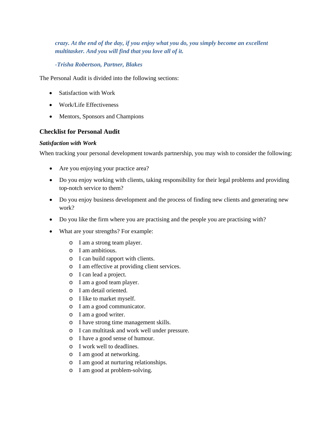## *crazy. At the end of the day, if you enjoy what you do, you simply become an excellent multitasker. And you will find that you love all of it.*

#### *-Trisha Robertson, Partner, Blakes*

The Personal Audit is divided into the following sections:

- Satisfaction with Work
- Work/Life Effectiveness
- Mentors, Sponsors and Champions

## **Checklist for Personal Audit**

#### *Satisfaction with Work*

When tracking your personal development towards partnership, you may wish to consider the following:

- Are you enjoying your practice area?
- Do you enjoy working with clients, taking responsibility for their legal problems and providing top-notch service to them?
- Do you enjoy business development and the process of finding new clients and generating new work?
- Do you like the firm where you are practising and the people you are practising with?
- What are your strengths? For example:
	- o I am a strong team player.
	- o I am ambitious.
	- o I can build rapport with clients.
	- o I am effective at providing client services.
	- o I can lead a project.
	- o I am a good team player.
	- o I am detail oriented.
	- o I like to market myself.
	- o I am a good communicator.
	- o I am a good writer.
	- o I have strong time management skills.
	- o I can multitask and work well under pressure.
	- o I have a good sense of humour.
	- o I work well to deadlines.
	- o I am good at networking.
	- o I am good at nurturing relationships.
	- o I am good at problem-solving.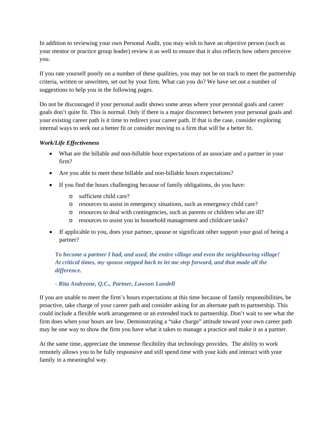In addition to reviewing your own Personal Audit, you may wish to have an objective person (such as your mentor or practice group leader) review it as well to ensure that it also reflects how others perceive you.

If you rate yourself poorly on a number of these qualities, you may not be on track to meet the partnership criteria, written or unwritten, set out by your firm. What can you do? We have set out a number of suggestions to help you in the following pages.

Do not be discouraged if your personal audit shows some areas where your personal goals and career goals don't quite fit. This is normal. Only if there is a major disconnect between your personal goals and your existing career path is it time to redirect your career path. If that is the case, consider exploring internal ways to seek out a better fit or consider moving to a firm that will be a better fit.

## *Work/Life Effectiveness*

- What are the billable and non-billable hour expectations of an associate and a partner in your firm?
- Are you able to meet these billable and non-billable hours expectations?
- If you find the hours challenging because of family obligations, do you have:
	- o sufficient child care?
	- o resources to assist in emergency situations, such as emergency child care?
	- o resources to deal with contingencies, such as parents or children who are ill?
	- o resources to assist you in household management and childcare tasks?
- If applicable to you, does your partner, spouse or significant other support your goal of being a partner?

*To become a partner I had, and used, the entire village and even the neighbouring village! At critical times, my spouse stepped back to let me step forward, and that made all the difference.* 

## *- Rita Andreone, Q.C., Partner, Lawson Lundell*

If you are unable to meet the firm's hours expectations at this time because of family responsibilities, be proactive, take charge of your career path and consider asking for an alternate path to partnership. This could include a flexible work arrangement or an extended track to partnership. Don't wait to see what the firm does when your hours are low. Demonstrating a "take charge" attitude toward your own career path may be one way to show the firm you have what it takes to manage a practice and make it as a partner.

At the same time, appreciate the immense flexibility that technology provides. The ability to work remotely allows you to be fully responsive and still spend time with your kids and interact with your family in a meaningful way.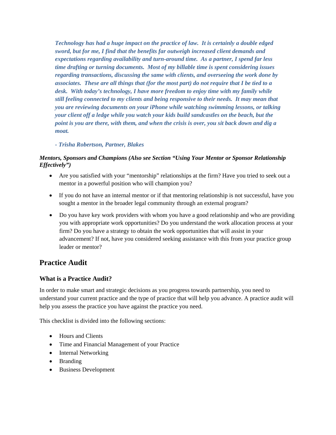*Technology has had a huge impact on the practice of law. It is certainly a double edged sword, but for me, I find that the benefits far outweigh increased client demands and expectations regarding availability and turn-around time. As a partner, I spend far less time drafting or turning documents. Most of my billable time is spent considering issues regarding transactions, discussing the same with clients, and overseeing the work done by associates. These are all things that (for the most part) do not require that I be tied to a desk. With today's technology, I have more freedom to enjoy time with my family while still feeling connected to my clients and being responsive to their needs. It may mean that you are reviewing documents on your iPhone while watching swimming lessons, or talking your client off a ledge while you watch your kids build sandcastles on the beach, but the point is you are there, with them, and when the crisis is over, you sit back down and dig a moat.* 

#### *- Trisha Robertson, Partner, Blakes*

## *Mentors, Sponsors and Champions (Also see Section "Using Your Mentor or Sponsor Relationship Effectively")*

- Are you satisfied with your "mentorship" relationships at the firm? Have you tried to seek out a mentor in a powerful position who will champion you?
- If you do not have an internal mentor or if that mentoring relationship is not successful, have you sought a mentor in the broader legal community through an external program?
- Do you have key work providers with whom you have a good relationship and who are providing you with appropriate work opportunities? Do you understand the work allocation process at your firm? Do you have a strategy to obtain the work opportunities that will assist in your advancement? If not, have you considered seeking assistance with this from your practice group leader or mentor?

## **Practice Audit**

## **What is a Practice Audit?**

In order to make smart and strategic decisions as you progress towards partnership, you need to understand your current practice and the type of practice that will help you advance. A practice audit will help you assess the practice you have against the practice you need.

This checklist is divided into the following sections:

- Hours and Clients
- Time and Financial Management of your Practice
- Internal Networking
- Branding
- Business Development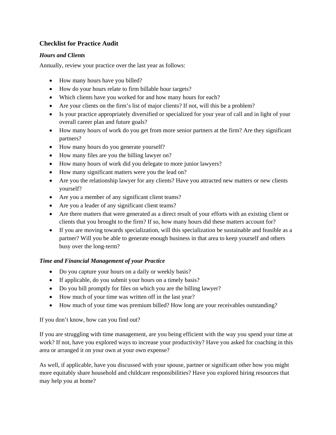## **Checklist for Practice Audit**

## *Hours and Clients*

Annually, review your practice over the last year as follows:

- How many hours have you billed?
- How do your hours relate to firm billable hour targets?
- Which clients have you worked for and how many hours for each?
- Are your clients on the firm's list of major clients? If not, will this be a problem?
- Is your practice appropriately diversified or specialized for your year of call and in light of your overall career plan and future goals?
- How many hours of work do you get from more senior partners at the firm? Are they significant partners?
- How many hours do you generate yourself?
- How many files are you the billing lawyer on?
- How many hours of work did you delegate to more junior lawyers?
- How many significant matters were you the lead on?
- Are you the relationship lawyer for any clients? Have you attracted new matters or new clients yourself?
- Are you a member of any significant client teams?
- Are you a leader of any significant client teams?
- Are there matters that were generated as a direct result of your efforts with an existing client or clients that you brought to the firm? If so, how many hours did these matters account for?
- If you are moving towards specialization, will this specialization be sustainable and feasible as a partner? Will you be able to generate enough business in that area to keep yourself and others busy over the long-term?

## *Time and Financial Management of your Practice*

- Do you capture your hours on a daily or weekly basis?
- If applicable, do you submit your hours on a timely basis?
- Do you bill promptly for files on which you are the billing lawyer?
- How much of your time was written off in the last year?
- How much of your time was premium billed? How long are your receivables outstanding?

If you don't know, how can you find out?

If you are struggling with time management, are you being efficient with the way you spend your time at work? If not, have you explored ways to increase your productivity? Have you asked for coaching in this area or arranged it on your own at your own expense?

As well, if applicable, have you discussed with your spouse, partner or significant other how you might more equitably share household and childcare responsibilities? Have you explored hiring resources that may help you at home?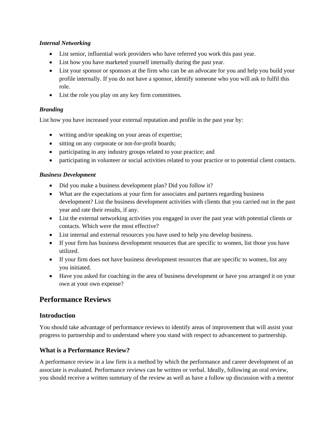#### *Internal Networking*

- List senior, influential work providers who have referred you work this past year.
- List how you have marketed yourself internally during the past year.
- List your sponsor or sponsors at the firm who can be an advocate for you and help you build your profile internally. If you do not have a sponsor, identify someone who you will ask to fulfil this role.
- List the role you play on any key firm committees.

## *Branding*

List how you have increased your external reputation and profile in the past year by:

- writing and/or speaking on your areas of expertise;
- sitting on any corporate or not-for-profit boards;
- participating in any industry groups related to your practice; and
- participating in volunteer or social activities related to your practice or to potential client contacts.

#### *Business Development*

- Did you make a business development plan? Did you follow it?
- What are the expectations at your firm for associates and partners regarding business development? List the business development activities with clients that you carried out in the past year and rate their results, if any.
- List the external networking activities you engaged in over the past year with potential clients or contacts. Which were the most effective?
- List internal and external resources you have used to help you develop business.
- If your firm has business development resources that are specific to women, list those you have utilized.
- If your firm does not have business development resources that are specific to women, list any you initiated.
- Have you asked for coaching in the area of business development or have you arranged it on your own at your own expense?

## **Performance Reviews**

## **Introduction**

You should take advantage of performance reviews to identify areas of improvement that will assist your progress to partnership and to understand where you stand with respect to advancement to partnership.

## **What is a Performance Review?**

A performance review in a law firm is a method by which the performance and career development of an associate is evaluated. Performance reviews can be written or verbal. Ideally, following an oral review, you should receive a written summary of the review as well as have a follow up discussion with a mentor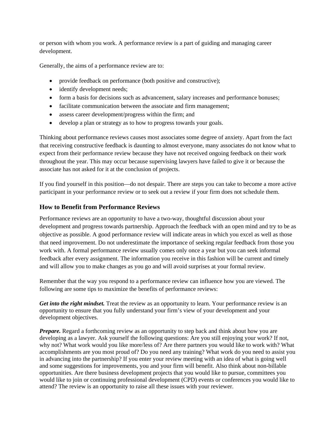or person with whom you work. A performance review is a part of guiding and managing career development.

Generally, the aims of a performance review are to:

- provide feedback on performance (both positive and constructive);
- identify development needs;
- form a basis for decisions such as advancement, salary increases and performance bonuses;
- facilitate communication between the associate and firm management;
- assess career development/progress within the firm; and
- develop a plan or strategy as to how to progress towards your goals.

Thinking about performance reviews causes most associates some degree of anxiety. Apart from the fact that receiving constructive feedback is daunting to almost everyone, many associates do not know what to expect from their performance review because they have not received ongoing feedback on their work throughout the year. This may occur because supervising lawyers have failed to give it or because the associate has not asked for it at the conclusion of projects.

If you find yourself in this position—do not despair. There are steps you can take to become a more active participant in your performance review or to seek out a review if your firm does not schedule them.

## **How to Benefit from Performance Reviews**

Performance reviews are an opportunity to have a two-way, thoughtful discussion about your development and progress towards partnership. Approach the feedback with an open mind and try to be as objective as possible. A good performance review will indicate areas in which you excel as well as those that need improvement. Do not underestimate the importance of seeking regular feedback from those you work with. A formal performance review usually comes only once a year but you can seek informal feedback after every assignment. The information you receive in this fashion will be current and timely and will allow you to make changes as you go and will avoid surprises at your formal review.

Remember that the way you respond to a performance review can influence how you are viewed. The following are some tips to maximize the benefits of performance reviews:

*Get into the right mindset.* Treat the review as an opportunity to learn. Your performance review is an opportunity to ensure that you fully understand your firm's view of your development and your development objectives.

*Prepare.* Regard a forthcoming review as an opportunity to step back and think about how you are developing as a lawyer. Ask yourself the following questions: Are you still enjoying your work? If not, why not? What work would you like more/less of? Are there partners you would like to work with? What accomplishments are you most proud of? Do you need any training? What work do you need to assist you in advancing into the partnership? If you enter your review meeting with an idea of what is going well and some suggestions for improvements, you and your firm will benefit. Also think about non-billable opportunities. Are there business development projects that you would like to pursue, committees you would like to join or continuing professional development (CPD) events or conferences you would like to attend? The review is an opportunity to raise all these issues with your reviewer.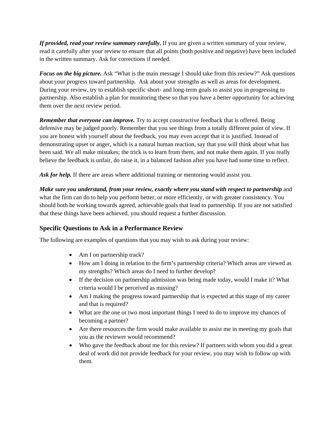*If provided, read your review summary carefully.* If you are given a written summary of your review, read it carefully after your review to ensure that all points (both positive and negative) have been included in the written summary. Ask for corrections if needed.

*Focus on the big picture.* Ask "What is the main message I should take from this review?" Ask questions about your progress toward partnership. Ask about your strengths as well as areas for development. During your review, try to establish specific short- and long-term goals to assist you in progressing to partnership. Also establish a plan for monitoring these so that you have a better opportunity for achieving them over the next review period.

**Remember that everyone can improve.** Try to accept constructive feedback that is offered. Being defensive may be judged poorly. Remember that you see things from a totally different point of view. If you are honest with yourself about the feedback, you may even accept that it is justified. Instead of demonstrating upset or anger, which is a natural human reaction, say that you will think about what has been said. We all make mistakes; the trick is to learn from them, and not make them again. If you really believe the feedback is unfair, do raise it, in a balanced fashion after you have had some time to reflect.

Ask for help. If there are areas where additional training or mentoring would assist you.

*Make sure you understand, from your review, exactly where you stand with respect to partnership* and what the firm can do to help you perform better, or more efficiently, or with greater consistency. You should both be working towards agreed, achievable goals that lead to partnership. If you are not satisfied that these things have been achieved, you should request a further discussion.

## **Specific Questions to Ask in a Performance Review**

The following are examples of questions that you may wish to ask during your review:

- Am I on partnership track?
- How am I doing in relation to the firm's partnership criteria? Which areas are viewed as my strengths? Which areas do I need to further develop?
- If the decision on partnership admission was being made today, would I make it? What criteria would I be perceived as missing?
- Am I making the progress toward partnership that is expected at this stage of my career and that is required?
- What are the one or two most important things I need to do to improve my chances of becoming a partner?
- Are there resources the firm would make available to assist me in meeting my goals that you as the reviewer would recommend?
- Who gave the feedback about me for this review? If partners with whom you did a great deal of work did not provide feedback for your review, you may wish to follow up with them.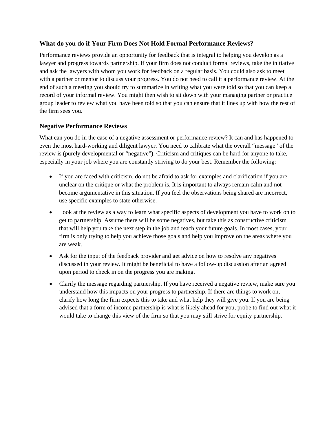## **What do you do if Your Firm Does Not Hold Formal Performance Reviews?**

Performance reviews provide an opportunity for feedback that is integral to helping you develop as a lawyer and progress towards partnership. If your firm does not conduct formal reviews, take the initiative and ask the lawyers with whom you work for feedback on a regular basis. You could also ask to meet with a partner or mentor to discuss your progress. You do not need to call it a performance review. At the end of such a meeting you should try to summarize in writing what you were told so that you can keep a record of your informal review. You might then wish to sit down with your managing partner or practice group leader to review what you have been told so that you can ensure that it lines up with how the rest of the firm sees you.

## **Negative Performance Reviews**

What can you do in the case of a negative assessment or performance review? It can and has happened to even the most hard-working and diligent lawyer. You need to calibrate what the overall "message" of the review is (purely developmental or "negative"). Criticism and critiques can be hard for anyone to take, especially in your job where you are constantly striving to do your best. Remember the following:

- If you are faced with criticism, do not be afraid to ask for examples and clarification if you are unclear on the critique or what the problem is. It is important to always remain calm and not become argumentative in this situation. If you feel the observations being shared are incorrect, use specific examples to state otherwise.
- Look at the review as a way to learn what specific aspects of development you have to work on to get to partnership. Assume there will be some negatives, but take this as constructive criticism that will help you take the next step in the job and reach your future goals. In most cases, your firm is only trying to help you achieve those goals and help you improve on the areas where you are weak.
- Ask for the input of the feedback provider and get advice on how to resolve any negatives discussed in your review. It might be beneficial to have a follow-up discussion after an agreed upon period to check in on the progress you are making.
- Clarify the message regarding partnership. If you have received a negative review, make sure you understand how this impacts on your progress to partnership. If there are things to work on, clarify how long the firm expects this to take and what help they will give you. If you are being advised that a form of income partnership is what is likely ahead for you, probe to find out what it would take to change this view of the firm so that you may still strive for equity partnership.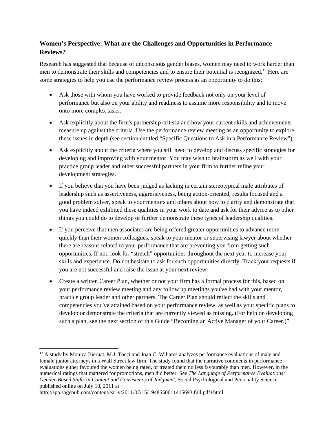## **Women's Perspective: What are the Challenges and Opportunities in Performance Reviews?**

Research has suggested that because of unconscious gender biases, women may need to work harder than men to demonstrate their skills and competencies and to ensure their potential is recognized.<sup>13</sup> Here are some strategies to help you use the performance review process as an opportunity to do this:

- Ask those with whom you have worked to provide feedback not only on your level of performance but also on your ability and readiness to assume more responsibility and to move onto more complex tasks.
- Ask explicitly about the firm's partnership criteria and how your current skills and achievements measure up against the criteria. Use the performance review meeting as an opportunity to explore these issues in depth (see section entitled "Specific Questions to Ask in a Performance Review").
- Ask explicitly about the criteria where you still need to develop and discuss specific strategies for developing and improving with your mentor. You may wish to brainstorm as well with your practice group leader and other successful partners in your firm to further refine your development strategies.
- If you believe that you have been judged as lacking in certain stereotypical male attributes of leadership such as assertiveness, aggressiveness, being action-oriented, results focused and a good problem solver, speak to your mentors and others about how to clarify and demonstrate that you have indeed exhibited these qualities in your work to date and ask for their advice as to other things you could do to develop or further demonstrate these types of leadership qualities.
- If you perceive that men associates are being offered greater opportunities to advance more quickly than their women colleagues, speak to your mentor or supervising lawyer about whether there are reasons related to your performance that are preventing you from getting such opportunities. If not, look for "stretch" opportunities throughout the next year to increase your skills and experience. Do not hesitate to ask for such opportunities directly. Track your requests if you are not successful and raise the issue at your next review.
- Create a written Career Plan, whether or not your firm has a formal process for this, based on your performance review meeting and any follow up meetings you've had with your mentor, practice group leader and other partners. The Career Plan should reflect the skills and competencies you've attained based on your performance review, as well as your specific plans to develop or demonstrate the criteria that are currently viewed as missing. (For help on developing such a plan, see the next section of this Guide "Becoming an Active Manager of your Career.)"

 <sup>13</sup> A study by Monica Biernat, M.J. Tocci and Joan C. Wiliams analyzes performance evaluations of male and female junior attorneys in a Wall Street law firm. The study found that the narrative comments in performance evaluations either favoured the women being rated, or treated them no less favourably than men. However, in the numerical ratings that mattered for promotions, men did better. See *The Language of Performance Evaluations: Gender-Based Shifts in Content and Consistency of Judgment*, Social Psychological and Personality Science, published online on July 18, 2011 at

http://spp.sagepub.com/content/early/2011/07/15/1948550611415693.full.pdf+html.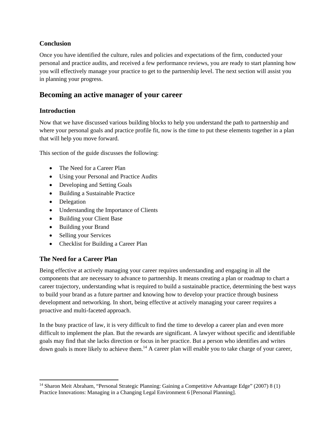## **Conclusion**

Once you have identified the culture, rules and policies and expectations of the firm, conducted your personal and practice audits, and received a few performance reviews, you are ready to start planning how you will effectively manage your practice to get to the partnership level. The next section will assist you in planning your progress.

# **Becoming an active manager of your career**

## **Introduction**

Now that we have discussed various building blocks to help you understand the path to partnership and where your personal goals and practice profile fit, now is the time to put these elements together in a plan that will help you move forward.

This section of the guide discusses the following:

- The Need for a Career Plan
- Using your Personal and Practice Audits
- Developing and Setting Goals
- Building a Sustainable Practice
- Delegation
- Understanding the Importance of Clients
- Building your Client Base
- Building your Brand
- Selling your Services
- Checklist for Building a Career Plan

## **The Need for a Career Plan**

Being effective at actively managing your career requires understanding and engaging in all the components that are necessary to advance to partnership. It means creating a plan or roadmap to chart a career trajectory, understanding what is required to build a sustainable practice, determining the best ways to build your brand as a future partner and knowing how to develop your practice through business development and networking. In short, being effective at actively managing your career requires a proactive and multi-faceted approach.

In the busy practice of law, it is very difficult to find the time to develop a career plan and even more difficult to implement the plan. But the rewards are significant. A lawyer without specific and identifiable goals may find that she lacks direction or focus in her practice. But a person who identifies and writes down goals is more likely to achieve them.<sup>14</sup> A career plan will enable you to take charge of your career,

<sup>&</sup>lt;sup>14</sup> Sharon Meit Abraham, "Personal Strategic Planning: Gaining a Competitive Advantage Edge" (2007) 8 (1) Practice Innovations: Managing in a Changing Legal Environment 6 [Personal Planning].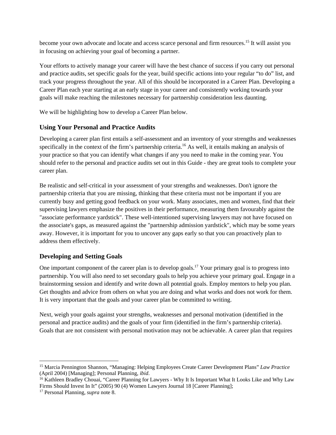become your own advocate and locate and access scarce personal and firm resources.15 It will assist you in focusing on achieving your goal of becoming a partner.

Your efforts to actively manage your career will have the best chance of success if you carry out personal and practice audits, set specific goals for the year, build specific actions into your regular "to do" list, and track your progress throughout the year. All of this should be incorporated in a Career Plan. Developing a Career Plan each year starting at an early stage in your career and consistently working towards your goals will make reaching the milestones necessary for partnership consideration less daunting.

We will be highlighting how to develop a Career Plan below.

## **Using Your Personal and Practice Audits**

Developing a career plan first entails a self-assessment and an inventory of your strengths and weaknesses specifically in the context of the firm's partnership criteria.<sup>16</sup> As well, it entails making an analysis of your practice so that you can identify what changes if any you need to make in the coming year. You should refer to the personal and practice audits set out in this Guide - they are great tools to complete your career plan.

Be realistic and self-critical in your assessment of your strengths and weaknesses. Don't ignore the partnership criteria that you are missing, thinking that these criteria must not be important if you are currently busy and getting good feedback on your work. Many associates, men and women, find that their supervising lawyers emphasize the positives in their performance, measuring them favourably against the "associate performance yardstick". These well-intentioned supervising lawyers may not have focused on the associate's gaps, as measured against the "partnership admission yardstick", which may be some years away. However, it is important for you to uncover any gaps early so that you can proactively plan to address them effectively.

## **Developing and Setting Goals**

One important component of the career plan is to develop goals.<sup>17</sup> Your primary goal is to progress into partnership. You will also need to set secondary goals to help you achieve your primary goal. Engage in a brainstorming session and identify and write down all potential goals. Employ mentors to help you plan. Get thoughts and advice from others on what you are doing and what works and does not work for them. It is very important that the goals and your career plan be committed to writing.

Next, weigh your goals against your strengths, weaknesses and personal motivation (identified in the personal and practice audits) and the goals of your firm (identified in the firm's partnership criteria). Goals that are not consistent with personal motivation may not be achievable. A career plan that requires

<sup>15</sup> Marcia Pennington Shannon, "Managing: Helping Employees Create Career Development Plans" *Law Practice*  (April 2004) [Managing]; Personal Planning, *ibid.* 16 Kathleen Bradley Chouai, "Career Planning for Lawyers - Why It Is Important What It Looks Like and Why Law

Firms Should Invest In It" (2005) 90 (4) Women Lawyers Journal 18 [Career Planning];

<sup>17</sup> Personal Planning, *supra* note 8.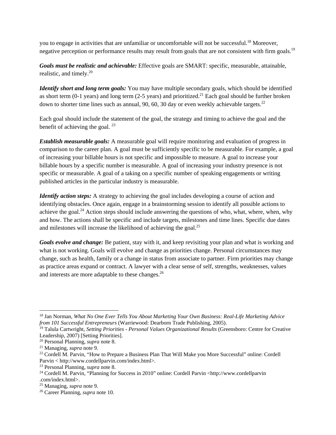you to engage in activities that are unfamiliar or uncomfortable will not be successful.18 Moreover, negative perception or performance results may result from goals that are not consistent with firm goals.<sup>19</sup>

*Goals must be realistic and achievable:* Effective goals are SMART: specific, measurable, attainable, realistic, and timely.<sup>20</sup>

*Identify short and long term goals:* You may have multiple secondary goals, which should be identified as short term (0-1 years) and long term (2-5 years) and prioritized.<sup>21</sup> Each goal should be further broken down to shorter time lines such as annual, 90, 60, 30 day or even weekly achievable targets.<sup>22</sup>

Each goal should include the statement of the goal, the strategy and timing to achieve the goal and the benefit of achieving the goal.  $^{23}$ 

*Establish measurable goals:* A measurable goal will require monitoring and evaluation of progress in comparison to the career plan. A goal must be sufficiently specific to be measurable. For example, a goal of increasing your billable hours is not specific and impossible to measure. A goal to increase your billable hours by a specific number is measurable. A goal of increasing your industry presence is not specific or measurable. A goal of a taking on a specific number of speaking engagements or writing published articles in the particular industry is measurable.

*Identify action steps:* A strategy to achieving the goal includes developing a course of action and identifying obstacles. Once again, engage in a brainstorming session to identify all possible actions to achieve the goal.<sup>24</sup> Action steps should include answering the questions of who, what, where, when, why and how. The actions shall be specific and include targets, milestones and time lines. Specific due dates and milestones will increase the likelihood of achieving the goal. $^{25}$ 

*Goals evolve and change:* Be patient, stay with it, and keep revisiting your plan and what is working and what is not working. Goals will evolve and change as priorities change. Personal circumstances may change, such as health, family or a change in status from associate to partner. Firm priorities may change as practice areas expand or contract. A lawyer with a clear sense of self, strengths, weaknesses, values and interests are more adaptable to these changes.<sup>26</sup>

 18 Jan Norman, *What No One Ever Tells You About Marketing Your Own Business: Real-Life Marketing Advice from 101 Successful Entrepreneurs* (Warriewood: Dearborn Trade Publishing, 2005).

<sup>19</sup> Talula Cartwright, *Setting Priorities - Personal Values Organizational Results* (Greensboro: Centre for Creative Leadership, 2007) [Setting Priorities].<br><sup>20</sup> Personal Planning, *supra* note 8.

<sup>&</sup>lt;sup>21</sup> Managing, *supra* note 9.<br><sup>22</sup> Cordell M. Parvin, "How to Prepare a Business Plan That Will Make you More Successful" online: Cordell Parvin < http://www.cordellparvin.com/index.html>.

<sup>&</sup>lt;sup>23</sup> Personal Planning, *supra* note 8.<br><sup>24</sup> Cordell M. Parvin, "Planning for Success in 2010" online: Cordell Parvin <http://www.cordellparvin .com/index.html>.<br><sup>25</sup> Managing, *supra* note 9.

<sup>&</sup>lt;sup>26</sup> Career Planning, *supra* note 10.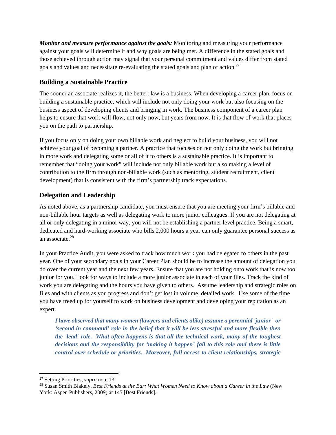*Monitor and measure performance against the goals:* Monitoring and measuring your performance against your goals will determine if and why goals are being met. A difference in the stated goals and those achieved through action may signal that your personal commitment and values differ from stated goals and values and necessitate re-evaluating the stated goals and plan of action.<sup>27</sup>

## **Building a Sustainable Practice**

The sooner an associate realizes it, the better: law is a business. When developing a career plan, focus on building a sustainable practice, which will include not only doing your work but also focusing on the business aspect of developing clients and bringing in work. The business component of a career plan helps to ensure that work will flow, not only now, but years from now. It is that flow of work that places you on the path to partnership.

If you focus only on doing your own billable work and neglect to build your business, you will not achieve your goal of becoming a partner. A practice that focuses on not only doing the work but bringing in more work and delegating some or all of it to others is a sustainable practice. It is important to remember that "doing your work" will include not only billable work but also making a level of contribution to the firm through non-billable work (such as mentoring, student recruitment, client development) that is consistent with the firm's partnership track expectations.

## **Delegation and Leadership**

As noted above, as a partnership candidate, you must ensure that you are meeting your firm's billable and non-billable hour targets as well as delegating work to more junior colleagues. If you are not delegating at all or only delegating in a minor way, you will not be establishing a partner level practice. Being a smart, dedicated and hard-working associate who bills 2,000 hours a year can only guarantee personal success as an associate.<sup>28</sup>

In your Practice Audit, you were asked to track how much work you had delegated to others in the past year. One of your secondary goals in your Career Plan should be to increase the amount of delegation you do over the current year and the next few years. Ensure that you are not holding onto work that is now too junior for you. Look for ways to include a more junior associate in each of your files. Track the kind of work you are delegating and the hours you have given to others. Assume leadership and strategic roles on files and with clients as you progress and don't get lost in volume, detailed work. Use some of the time you have freed up for yourself to work on business development and developing your reputation as an expert.

*I have observed that many women (lawyers and clients alike) assume a perennial 'junior' or 'second in command' role in the belief that it will be less stressful and more flexible then the 'lead' role. What often happens is that all the technical work, many of the toughest decisions and the responsibility for 'making it happen' fall to this role and there is little control over schedule or priorities. Moreover, full access to client relationships, strategic* 

<sup>&</sup>lt;sup>27</sup> Setting Priorities, *supra* note 13.<br><sup>28</sup> Susan Smith Blakely, *Best Friends at the Bar: What Women Need to Know about a Career in the Law* (New York: Aspen Publishers, 2009) at 145 [Best Friends].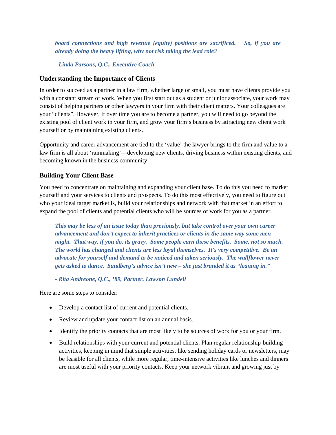*board connections and high revenue (equity) positions are sacrificed. So, if you are already doing the heavy lifting, why not risk taking the lead role?* 

*- Linda Parsons, Q.C., Executive Coach*

#### **Understanding the Importance of Clients**

In order to succeed as a partner in a law firm, whether large or small, you must have clients provide you with a constant stream of work. When you first start out as a student or junior associate, your work may consist of helping partners or other lawyers in your firm with their client matters. Your colleagues are your "clients". However, if over time you are to become a partner, you will need to go beyond the existing pool of client work in your firm, and grow your firm's business by attracting new client work yourself or by maintaining existing clients.

Opportunity and career advancement are tied to the 'value' the lawyer brings to the firm and value to a law firm is all about 'rainmaking'—developing new clients, driving business within existing clients, and becoming known in the business community.

#### **Building Your Client Base**

You need to concentrate on maintaining and expanding your client base. To do this you need to market yourself and your services to clients and prospects. To do this most effectively, you need to figure out who your ideal target market is, build your relationships and network with that market in an effort to expand the pool of clients and potential clients who will be sources of work for you as a partner.

*This may be less of an issue today than previously, but take control over your own career advancement and don't expect to inherit practices or clients in the same way some men might. That way, if you do, its gravy. Some people earn these benefits. Some, not so much. The world has changed and clients are less loyal themselves. It's very competitive. Be an advocate for yourself and demand to be noticed and taken seriously. The wallflower never gets asked to dance. Sandberg's advice isn't new – she just branded it as "leaning in."* 

*- Rita Andreone, Q.C., '89, Partner, Lawson Lundell* 

Here are some steps to consider:

- Develop a contact list of current and potential clients.
- Review and update your contact list on an annual basis.
- Identify the priority contacts that are most likely to be sources of work for you or your firm.
- Build relationships with your current and potential clients. Plan regular relationship-building activities, keeping in mind that simple activities, like sending holiday cards or newsletters, may be feasible for all clients, while more regular, time-intensive activities like lunches and dinners are most useful with your priority contacts. Keep your network vibrant and growing just by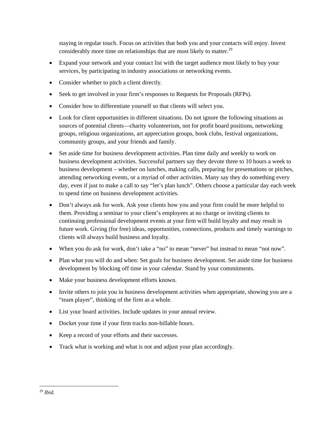staying in regular touch. Focus on activities that both you and your contacts will enjoy. Invest considerably more time on relationships that are most likely to matter.<sup>29</sup>

- Expand your network and your contact list with the target audience most likely to buy your services, by participating in industry associations or networking events.
- Consider whether to pitch a client directly.
- Seek to get involved in your firm's responses to Requests for Proposals (RFPs).
- Consider how to differentiate yourself so that clients will select you.
- Look for client opportunities in different situations. Do not ignore the following situations as sources of potential clients—charity volunteerism, not for profit board positions, networking groups, religious organizations, art appreciation groups, book clubs, festival organizations, community groups, and your friends and family.
- Set aside time for business development activities. Plan time daily and weekly to work on business development activities. Successful partners say they devote three to 10 hours a week to business development – whether on lunches, making calls, preparing for presentations or pitches, attending networking events, or a myriad of other activities. Many say they do something every day, even if just to make a call to say "let's plan lunch". Others choose a particular day each week to spend time on business development activities.
- Don't always ask for work. Ask your clients how you and your firm could be more helpful to them. Providing a seminar to your client's employees at no charge or inviting clients to continuing professional development events at your firm will build loyalty and may result in future work. Giving (for free) ideas, opportunities, connections, products and timely warnings to clients will always build business and loyalty.
- When you do ask for work, don't take a "no" to mean "never" but instead to mean "not now".
- Plan what you will do and when: Set goals for business development. Set aside time for business development by blocking off time in your calendar. Stand by your commitments.
- Make your business development efforts known.
- Invite others to join you in business development activities when appropriate, showing you are a "team player", thinking of the firm as a whole.
- List your board activities. Include updates in your annual review.
- Docket your time if your firm tracks non-billable hours.
- Keep a record of your efforts and their successes.
- Track what is working and what is not and adjust your plan accordingly.

 <sup>29</sup> *Ibid*.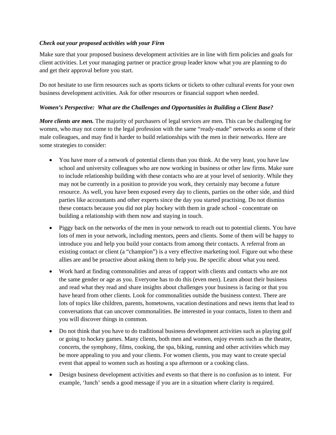#### *Check out your proposed activities with your Firm*

Make sure that your proposed business development activities are in line with firm policies and goals for client activities. Let your managing partner or practice group leader know what you are planning to do and get their approval before you start.

Do not hesitate to use firm resources such as sports tickets or tickets to other cultural events for your own business development activities. Ask for other resources or financial support when needed.

## *Women's Perspective: What are the Challenges and Opportunities in Building a Client Base?*

*More clients are men.* The majority of purchasers of legal services are men. This can be challenging for women, who may not come to the legal profession with the same "ready-made" networks as some of their male colleagues, and may find it harder to build relationships with the men in their networks. Here are some strategies to consider:

- You have more of a network of potential clients than you think. At the very least, you have law school and university colleagues who are now working in business or other law firms. Make sure to include relationship building with these contacts who are at your level of seniority. While they may not be currently in a position to provide you work, they certainly may become a future resource. As well, you have been exposed every day to clients, parties on the other side, and third parties like accountants and other experts since the day you started practising. Do not dismiss these contacts because you did not play hockey with them in grade school - concentrate on building a relationship with them now and staying in touch.
- Piggy back on the networks of the men in your network to reach out to potential clients. You have lots of men in your network, including mentors, peers and clients. Some of them will be happy to introduce you and help you build your contacts from among their contacts. A referral from an existing contact or client (a "champion") is a very effective marketing tool. Figure out who these allies are and be proactive about asking them to help you. Be specific about what you need.
- Work hard at finding commonalities and areas of rapport with clients and contacts who are not the same gender or age as you. Everyone has to do this (even men). Learn about their business and read what they read and share insights about challenges your business is facing or that you have heard from other clients. Look for commonalities outside the business context. There are lots of topics like children, parents, hometowns, vacation destinations and news items that lead to conversations that can uncover commonalities. Be interested in your contacts, listen to them and you will discover things in common.
- Do not think that you have to do traditional business development activities such as playing golf or going to hockey games. Many clients, both men and women, enjoy events such as the theatre, concerts, the symphony, films, cooking, the spa, biking, running and other activities which may be more appealing to you and your clients. For women clients, you may want to create special event that appeal to women such as hosting a spa afternoon or a cooking class.
- Design business development activities and events so that there is no confusion as to intent. For example, 'lunch' sends a good message if you are in a situation where clarity is required.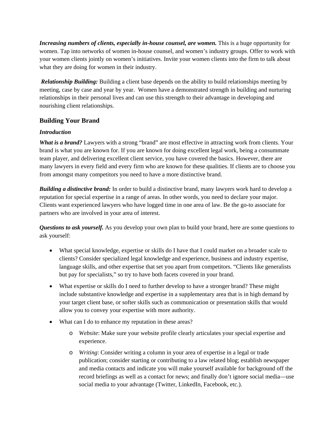*Increasing numbers of clients, especially in-house counsel, are women.* This is a huge opportunity for women. Tap into networks of women in-house counsel, and women's industry groups. Offer to work with your women clients jointly on women's initiatives. Invite your women clients into the firm to talk about what they are doing for women in their industry.

 *Relationship Building:* Building a client base depends on the ability to build relationships meeting by meeting, case by case and year by year. Women have a demonstrated strength in building and nurturing relationships in their personal lives and can use this strength to their advantage in developing and nourishing client relationships.

## **Building Your Brand**

## *Introduction*

*What is a brand?* Lawyers with a strong "brand" are most effective in attracting work from clients. Your brand is what you are known for. If you are known for doing excellent legal work, being a consummate team player, and delivering excellent client service, you have covered the basics. However, there are many lawyers in every field and every firm who are known for these qualities. If clients are to choose you from amongst many competitors you need to have a more distinctive brand.

*Building a distinctive brand:* In order to build a distinctive brand, many lawyers work hard to develop a reputation for special expertise in a range of areas. In other words, you need to declare your major. Clients want experienced lawyers who have logged time in one area of law. Be the go-to associate for partners who are involved in your area of interest.

*Questions to ask yourself.* As you develop your own plan to build your brand, here are some questions to ask yourself:

- What special knowledge, expertise or skills do I have that I could market on a broader scale to clients? Consider specialized legal knowledge and experience, business and industry expertise, language skills, and other expertise that set you apart from competitors. "Clients like generalists but pay for specialists," so try to have both facets covered in your brand.
- What expertise or skills do I need to further develop to have a stronger brand? These might include substantive knowledge and expertise in a supplementary area that is in high demand by your target client base, or softer skills such as communication or presentation skills that would allow you to convey your expertise with more authority.
- What can I do to enhance my reputation in these areas?
	- o *Website*: Make sure your website profile clearly articulates your special expertise and experience.
	- o *Writing*: Consider writing a column in your area of expertise in a legal or trade publication; consider starting or contributing to a law related blog; establish newspaper and media contacts and indicate you will make yourself available for background off the record briefings as well as a contact for news; and finally don't ignore social media—use social media to your advantage (Twitter, LinkedIn, Facebook, etc.).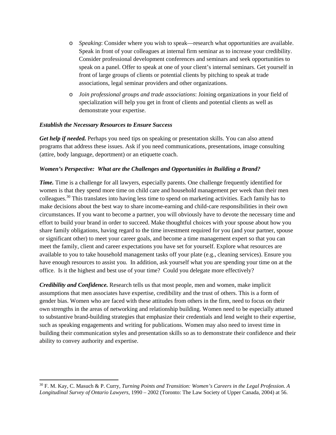- o *Speaking*: Consider where you wish to speak—research what opportunities are available. Speak in front of your colleagues at internal firm seminar as to increase your credibility. Consider professional development conferences and seminars and seek opportunities to speak on a panel. Offer to speak at one of your client's internal seminars. Get yourself in front of large groups of clients or potential clients by pitching to speak at trade associations, legal seminar providers and other organizations.
- o *Join professional groups and trade associations*: Joining organizations in your field of specialization will help you get in front of clients and potential clients as well as demonstrate your expertise.

#### *Establish the Necessary Resources to Ensure Success*

*Get help if needed.* Perhaps you need tips on speaking or presentation skills. You can also attend programs that address these issues. Ask if you need communications, presentations, image consulting (attire, body language, deportment) or an etiquette coach.

#### *Women's Perspective: What are the Challenges and Opportunities in Building a Brand?*

*Time.* Time is a challenge for all lawyers, especially parents. One challenge frequently identified for women is that they spend more time on child care and household management per week than their men colleagues.30 This translates into having less time to spend on marketing activities. Each family has to make decisions about the best way to share income-earning and child-care responsibilities in their own circumstances. If you want to become a partner, you will obviously have to devote the necessary time and effort to build your brand in order to succeed. Make thoughtful choices with your spouse about how you share family obligations, having regard to the time investment required for you (and your partner, spouse or significant other) to meet your career goals, and become a time management expert so that you can meet the family, client and career expectations you have set for yourself. Explore what resources are available to you to take household management tasks off your plate (e.g., cleaning services). Ensure you have enough resources to assist you. In addition, ask yourself what you are spending your time on at the office. Is it the highest and best use of your time? Could you delegate more effectively?

*Credibility and Confidence.* Research tells us that most people, men and women, make implicit assumptions that men associates have expertise, credibility and the trust of others. This is a form of gender bias. Women who are faced with these attitudes from others in the firm, need to focus on their own strengths in the areas of networking and relationship building. Women need to be especially attuned to substantive brand-building strategies that emphasize their credentials and lend weight to their expertise, such as speaking engagements and writing for publications. Women may also need to invest time in building their communication styles and presentation skills so as to demonstrate their confidence and their ability to convey authority and expertise.

<sup>30</sup> F. M. Kay, C. Masuch & P. Curry, *Turning Points and Transition: Women's Careers in the Legal Profession. A Longitudinal Survey of Ontario Lawyers*, 1990 – 2002 (Toronto: The Law Society of Upper Canada, 2004) at 56.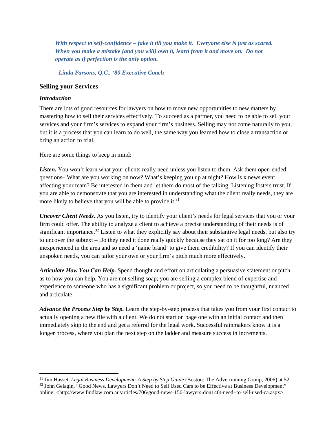*With respect to self-confidence – fake it till you make it. Everyone else is just as scared. When you make a mistake (and you will) own it, learn from it and move on. Do not operate as if perfection is the only option.* 

*- Linda Parsons, Q.C., '80 Executive Coach*

#### **Selling your Services**

#### *Introduction*

There are lots of good resources for lawyers on how to move new opportunities to new matters by mastering how to sell their services effectively. To succeed as a partner, you need to be able to sell your services and your firm's services to expand your firm's business. Selling may not come naturally to you, but it is a process that you can learn to do well, the same way you learned how to close a transaction or bring an action to trial.

Here are some things to keep in mind:

Listen. You won't learn what your clients really need unless you listen to them. Ask them open-ended questions– What are you working on now? What's keeping you up at night? How is x news event affecting your team? Be interested in them and let them do most of the talking. Listening fosters trust. If you are able to demonstrate that you are interested in understanding what the client really needs, they are more likely to believe that you will be able to provide it.<sup>31</sup>

*Uncover Client Needs.* As you listen, try to identify your client's needs for legal services that you or your firm could offer. The ability to analyze a client to achieve a precise understanding of their needs is of significant importance.<sup>32</sup> Listen to what they explicitly say about their substantive legal needs, but also try to uncover the subtext – Do they need it done really quickly because they sat on it for too long? Are they inexperienced in the area and so need a 'name brand' to give them credibility? If you can identify their unspoken needs, you can tailor your own or your firm's pitch much more effectively.

*Articulate How You Can Help.* Spend thought and effort on articulating a persuasive statement or pitch as to how you can help. You are not selling soap; you are selling a complex blend of expertise and experience to someone who has a significant problem or project, so you need to be thoughtful, nuanced and articulate.

*Advance the Process Step by Step.* Learn the step-by-step process that takes you from your first contact to actually opening a new file with a client. We do not start on page one with an initial contact and then immediately skip to the end and get a referral for the legal work. Successful rainmakers know it is a longer process, where you plan the next step on the ladder and measure success in increments.

<sup>&</sup>lt;sup>31</sup> Jim Hasset, *Legal Business Development: A Step by Step Guide* (Boston: The Advertraining Group, 2006) at 52.<br><sup>32</sup> John Gelagin, "Good News, Lawyers Don't Need to Sell Used Cars to be Effective at Business Development

online: <http://www.findlaw.com.au/articles/706/good-news-150-lawyers-don146t-need¬to-sell-used-ca.aspx>.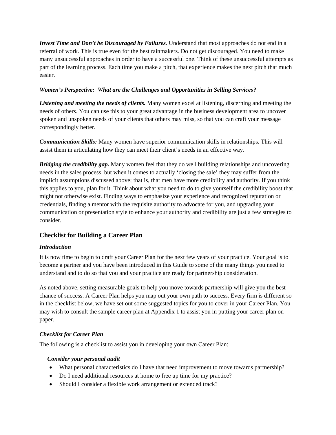*Invest Time and Don't be Discouraged by Failures.* Understand that most approaches do not end in a referral of work. This is true even for the best rainmakers. Do not get discouraged. You need to make many unsuccessful approaches in order to have a successful one. Think of these unsuccessful attempts as part of the learning process. Each time you make a pitch, that experience makes the next pitch that much easier.

## *Women's Perspective: What are the Challenges and Opportunities in Selling Services?*

*Listening and meeting the needs of clients.* Many women excel at listening, discerning and meeting the needs of others. You can use this to your great advantage in the business development area to uncover spoken and unspoken needs of your clients that others may miss, so that you can craft your message correspondingly better.

*Communication Skills:* Many women have superior communication skills in relationships. This will assist them in articulating how they can meet their client's needs in an effective way.

*Bridging the credibility gap.* Many women feel that they do well building relationships and uncovering needs in the sales process, but when it comes to actually 'closing the sale' they may suffer from the implicit assumptions discussed above; that is, that men have more credibility and authority. If you think this applies to you, plan for it. Think about what you need to do to give yourself the credibility boost that might not otherwise exist. Finding ways to emphasize your experience and recognized reputation or credentials, finding a mentor with the requisite authority to advocate for you, and upgrading your communication or presentation style to enhance your authority and credibility are just a few strategies to consider.

## **Checklist for Building a Career Plan**

## *Introduction*

It is now time to begin to draft your Career Plan for the next few years of your practice. Your goal is to become a partner and you have been introduced in this Guide to some of the many things you need to understand and to do so that you and your practice are ready for partnership consideration.

As noted above, setting measurable goals to help you move towards partnership will give you the best chance of success. A Career Plan helps you map out your own path to success. Every firm is different so in the checklist below, we have set out some suggested topics for you to cover in your Career Plan. You may wish to consult the sample career plan at Appendix 1 to assist you in putting your career plan on paper.

## *Checklist for Career Plan*

The following is a checklist to assist you in developing your own Career Plan:

#### *Consider your personal audit*

- What personal characteristics do I have that need improvement to move towards partnership?
- Do I need additional resources at home to free up time for my practice?
- Should I consider a flexible work arrangement or extended track?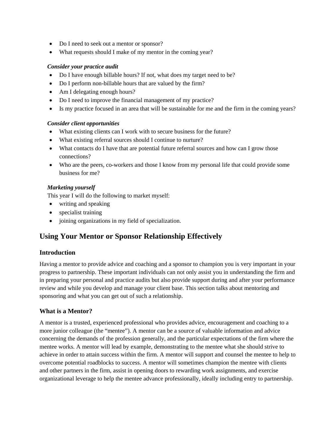- Do I need to seek out a mentor or sponsor?
- What requests should I make of my mentor in the coming year?

#### *Consider your practice audit*

- Do I have enough billable hours? If not, what does my target need to be?
- Do I perform non-billable hours that are valued by the firm?
- Am I delegating enough hours?
- Do I need to improve the financial management of my practice?
- Is my practice focused in an area that will be sustainable for me and the firm in the coming years?

#### *Consider client opportunities*

- What existing clients can I work with to secure business for the future?
- What existing referral sources should I continue to nurture?
- What contacts do I have that are potential future referral sources and how can I grow those connections?
- Who are the peers, co-workers and those I know from my personal life that could provide some business for me?

## *Marketing yourself*

This year I will do the following to market myself:

- writing and speaking
- specialist training
- joining organizations in my field of specialization.

# **Using Your Mentor or Sponsor Relationship Effectively**

## **Introduction**

Having a mentor to provide advice and coaching and a sponsor to champion you is very important in your progress to partnership. These important individuals can not only assist you in understanding the firm and in preparing your personal and practice audits but also provide support during and after your performance review and while you develop and manage your client base. This section talks about mentoring and sponsoring and what you can get out of such a relationship.

## **What is a Mentor?**

A mentor is a trusted, experienced professional who provides advice, encouragement and coaching to a more junior colleague (the "mentee"). A mentor can be a source of valuable information and advice concerning the demands of the profession generally, and the particular expectations of the firm where the mentee works. A mentor will lead by example, demonstrating to the mentee what she should strive to achieve in order to attain success within the firm. A mentor will support and counsel the mentee to help to overcome potential roadblocks to success. A mentor will sometimes champion the mentee with clients and other partners in the firm, assist in opening doors to rewarding work assignments, and exercise organizational leverage to help the mentee advance professionally, ideally including entry to partnership.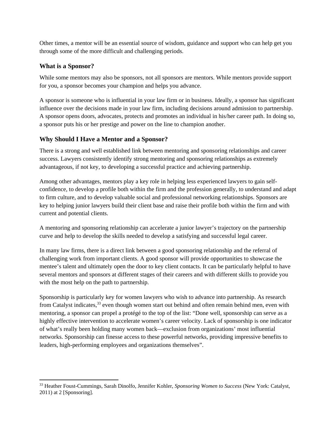Other times, a mentor will be an essential source of wisdom, guidance and support who can help get you through some of the more difficult and challenging periods.

## **What is a Sponsor?**

While some mentors may also be sponsors, not all sponsors are mentors. While mentors provide support for you, a sponsor becomes your champion and helps you advance.

A sponsor is someone who is influential in your law firm or in business. Ideally, a sponsor has significant influence over the decisions made in your law firm, including decisions around admission to partnership. A sponsor opens doors, advocates, protects and promotes an individual in his/her career path. In doing so, a sponsor puts his or her prestige and power on the line to champion another.

## **Why Should I Have a Mentor and a Sponsor?**

There is a strong and well established link between mentoring and sponsoring relationships and career success. Lawyers consistently identify strong mentoring and sponsoring relationships as extremely advantageous, if not key, to developing a successful practice and achieving partnership.

Among other advantages, mentors play a key role in helping less experienced lawyers to gain selfconfidence, to develop a profile both within the firm and the profession generally, to understand and adapt to firm culture, and to develop valuable social and professional networking relationships. Sponsors are key to helping junior lawyers build their client base and raise their profile both within the firm and with current and potential clients.

A mentoring and sponsoring relationship can accelerate a junior lawyer's trajectory on the partnership curve and help to develop the skills needed to develop a satisfying and successful legal career.

In many law firms, there is a direct link between a good sponsoring relationship and the referral of challenging work from important clients. A good sponsor will provide opportunities to showcase the mentee's talent and ultimately open the door to key client contacts. It can be particularly helpful to have several mentors and sponsors at different stages of their careers and with different skills to provide you with the most help on the path to partnership.

Sponsorship is particularly key for women lawyers who wish to advance into partnership. As research from Catalyst indicates,<sup>33</sup> even though women start out behind and often remain behind men, even with mentoring, a sponsor can propel a protégé to the top of the list: "Done well, sponsorship can serve as a highly effective intervention to accelerate women's career velocity. Lack of sponsorship is one indicator of what's really been holding many women back—exclusion from organizations' most influential networks. Sponsorship can finesse access to these powerful networks, providing impressive benefits to leaders, high-performing employees and organizations themselves".

<sup>33</sup> Heather Foust-Cummings, Sarah Dinolfo, Jennifer Kohler, *Sponsoring Women to Success* (New York: Catalyst, 2011) at 2 [Sponsoring].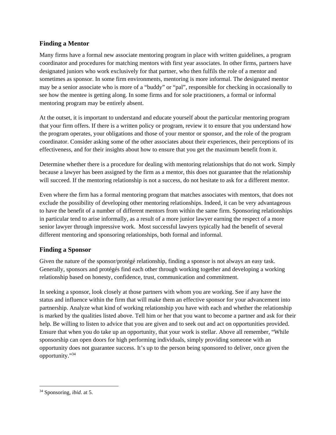## **Finding a Mentor**

Many firms have a formal new associate mentoring program in place with written guidelines, a program coordinator and procedures for matching mentors with first year associates. In other firms, partners have designated juniors who work exclusively for that partner, who then fulfils the role of a mentor and sometimes as sponsor. In some firm environments, mentoring is more informal. The designated mentor may be a senior associate who is more of a "buddy" or "pal", responsible for checking in occasionally to see how the mentee is getting along. In some firms and for sole practitioners, a formal or informal mentoring program may be entirely absent.

At the outset, it is important to understand and educate yourself about the particular mentoring program that your firm offers. If there is a written policy or program, review it to ensure that you understand how the program operates, your obligations and those of your mentor or sponsor, and the role of the program coordinator. Consider asking some of the other associates about their experiences, their perceptions of its effectiveness, and for their insights about how to ensure that you get the maximum benefit from it.

Determine whether there is a procedure for dealing with mentoring relationships that do not work. Simply because a lawyer has been assigned by the firm as a mentor, this does not guarantee that the relationship will succeed. If the mentoring relationship is not a success, do not hesitate to ask for a different mentor.

Even where the firm has a formal mentoring program that matches associates with mentors, that does not exclude the possibility of developing other mentoring relationships. Indeed, it can be very advantageous to have the benefit of a number of different mentors from within the same firm. Sponsoring relationships in particular tend to arise informally, as a result of a more junior lawyer earning the respect of a more senior lawyer through impressive work. Most successful lawyers typically had the benefit of several different mentoring and sponsoring relationships, both formal and informal.

## **Finding a Sponsor**

Given the nature of the sponsor/protégé relationship, finding a sponsor is not always an easy task. Generally, sponsors and protégés find each other through working together and developing a working relationship based on honesty, confidence, trust, communication and commitment.

In seeking a sponsor, look closely at those partners with whom you are working. See if any have the status and influence within the firm that will make them an effective sponsor for your advancement into partnership. Analyze what kind of working relationship you have with each and whether the relationship is marked by the qualities listed above. Tell him or her that you want to become a partner and ask for their help. Be willing to listen to advice that you are given and to seek out and act on opportunities provided. Ensure that when you do take up an opportunity, that your work is stellar. Above all remember, "While sponsorship can open doors for high performing individuals, simply providing someone with an opportunity does not guarantee success. It's up to the person being sponsored to deliver, once given the opportunity."34

 34 Sponsoring, *ibid*. at 5.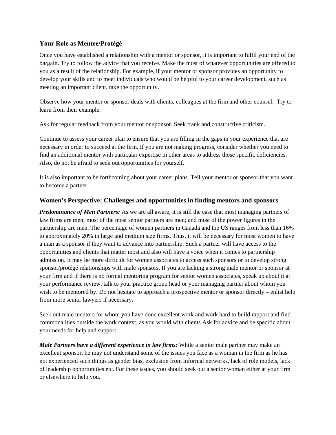## **Your Role as Mentee/Protégé**

Once you have established a relationship with a mentor or sponsor, it is important to fulfil your end of the bargain. Try to follow the advice that you receive. Make the most of whatever opportunities are offered to you as a result of the relationship. For example, if your mentor or sponsor provides an opportunity to develop your skills and to meet individuals who would be helpful to your career development, such as meeting an important client, take the opportunity.

Observe how your mentor or sponsor deals with clients, colleagues at the firm and other counsel. Try to learn from their example.

Ask for regular feedback from your mentor or sponsor. Seek frank and constructive criticism.

Continue to assess your career plan to ensure that you are filling in the gaps in your experience that are necessary in order to succeed at the firm. If you are not making progress, consider whether you need to find an additional mentor with particular expertise in other areas to address those specific deficiencies. Also, do not be afraid to seek out opportunities for yourself.

It is also important to be forthcoming about your career plans. Tell your mentor or sponsor that you want to become a partner.

#### **Women's Perspective: Challenges and opportunities in finding mentors and sponsors**

*Predominance of Men Partners:* As we are all aware, it is still the case that most managing partners of law firms are men; most of the most senior partners are men; and most of the power figures in the partnership are men. The percentage of women partners in Canada and the US ranges from less than 16% to approximately 20% in large and medium size firms. Thus, it will be necessary for most women to have a man as a sponsor if they want to advance into partnership. Such a partner will have access to the opportunities and clients that matter most and also will have a voice when it comes to partnership admission. It may be more difficult for women associates to access such sponsors or to develop strong sponsor/protégé relationships with male sponsors. If you are lacking a strong male mentor or sponsor at your firm and if there is no formal mentoring program for senior women associates, speak up about it at your performance review, talk to your practice group head or your managing partner about whom you wish to be mentored by. Do not hesitate to approach a prospective mentor or sponsor directly – enlist help from more senior lawyers if necessary.

Seek out male mentors for whom you have done excellent work and work hard to build rapport and find commonalities outside the work context, as you would with clients Ask for advice and be specific about your needs for help and support.

*Male Partners have a different experience in law firms:* While a senior male partner may make an excellent sponsor, he may not understand some of the issues you face as a woman in the firm as he has not experienced such things as gender bias, exclusion from informal networks, lack of role models, lack of leadership opportunities etc. For these issues, you should seek out a senior woman either at your firm or elsewhere to help you.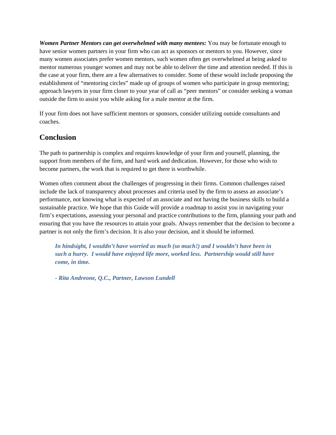*Women Partner Mentors can get overwhelmed with many mentees:* You may be fortunate enough to have senior women partners in your firm who can act as sponsors or mentors to you. However, since many women associates prefer women mentors, such women often get overwhelmed at being asked to mentor numerous younger women and may not be able to deliver the time and attention needed. If this is the case at your firm, there are a few alternatives to consider. Some of these would include proposing the establishment of "mentoring circles" made up of groups of women who participate in group mentoring; approach lawyers in your firm closer to your year of call as "peer mentors" or consider seeking a woman outside the firm to assist you while asking for a male mentor at the firm.

If your firm does not have sufficient mentors or sponsors, consider utilizing outside consultants and coaches.

# **Conclusion**

The path to partnership is complex and requires knowledge of your firm and yourself, planning, the support from members of the firm, and hard work and dedication. However, for those who wish to become partners, the work that is required to get there is worthwhile.

Women often comment about the challenges of progressing in their firms. Common challenges raised include the lack of transparency about processes and criteria used by the firm to assess an associate's performance, not knowing what is expected of an associate and not having the business skills to build a sustainable practice. We hope that this Guide will provide a roadmap to assist you in navigating your firm's expectations, assessing your personal and practice contributions to the firm, planning your path and ensuring that you have the resources to attain your goals. Always remember that the decision to become a partner is not only the firm's decision. It is also your decision, and it should be informed.

*In hindsight, I wouldn't have worried as much (so much!) and I wouldn't have been in such a hurry. I would have enjoyed life more, worked less. Partnership would still have come, in time.* 

*- Rita Andreone, Q.C., Partner, Lawson Lundell*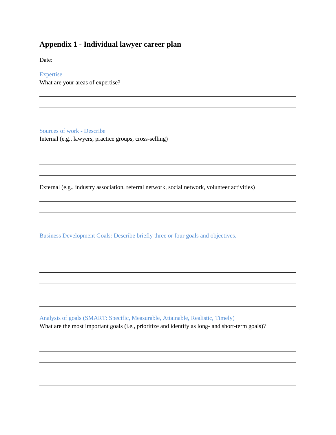# **Appendix 1 - Individual lawyer career plan**

Date:

#### Expertise

What are your areas of expertise?

Sources of work - Describe

Internal (e.g., lawyers, practice groups, cross-selling)

External (e.g., industry association, referral network, social network, volunteer activities)

Business Development Goals: Describe briefly three or four goals and objectives.

Analysis of goals (SMART: Specific, Measurable, Attainable, Realistic, Timely) What are the most important goals (i.e., prioritize and identify as long- and short-term goals)?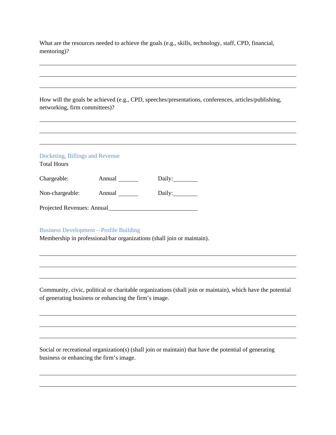What are the resources needed to achieve the goals (e.g., skills, technology, staff, CPD, financial, mentoring)?

| How will the goals be achieved (e.g., CPD, speeches/presentations, conferences, articles/publishing,<br>networking, firm committees)? |                                                                        |           |  |  |
|---------------------------------------------------------------------------------------------------------------------------------------|------------------------------------------------------------------------|-----------|--|--|
|                                                                                                                                       |                                                                        |           |  |  |
| Docketing, Billings and Revenue<br><b>Total Hours</b>                                                                                 |                                                                        |           |  |  |
|                                                                                                                                       |                                                                        | Daily:    |  |  |
|                                                                                                                                       | Non-chargeable: Annual _______                                         | Daily:___ |  |  |
| Projected Revenues: Annual                                                                                                            |                                                                        |           |  |  |
| <b>Business Development – Profile Building</b>                                                                                        | Membership in professional/bar organizations (shall join or maintain). |           |  |  |

Community, civic, political or charitable organizations (shall join or maintain), which have the potential of generating business or enhancing the firm's image.

Social or recreational organization(s) (shall join or maintain) that have the potential of generating business or enhancing the firm's image.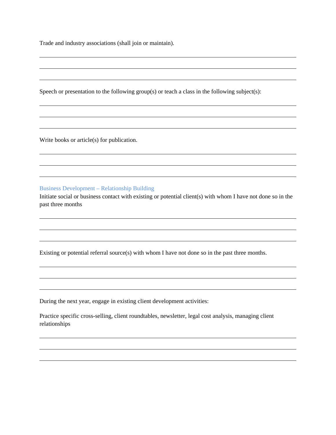Trade and industry associations (shall join or maintain).

Speech or presentation to the following group(s) or teach a class in the following subject(s):

Write books or article(s) for publication.

Business Development – Relationship Building

Initiate social or business contact with existing or potential client(s) with whom I have not done so in the past three months

Existing or potential referral source(s) with whom I have not done so in the past three months.

During the next year, engage in existing client development activities:

Practice specific cross-selling, client roundtables, newsletter, legal cost analysis, managing client relationships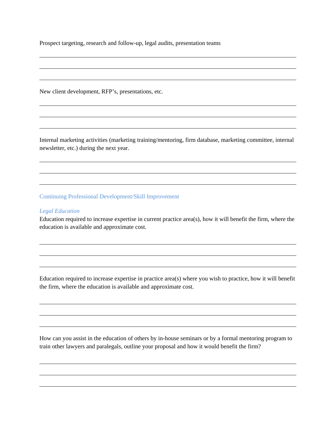Prospect targeting, research and follow-up, legal audits, presentation teams

New client development, RFP's, presentations, etc.

Internal marketing activities (marketing training/mentoring, firm database, marketing committee, internal newsletter, etc.) during the next year.

Continuing Professional Development/Skill Improvement

#### *Legal Education*

Education required to increase expertise in current practice area(s), how it will benefit the firm, where the education is available and approximate cost.

Education required to increase expertise in practice area(s) where you wish to practice, how it will benefit the firm, where the education is available and approximate cost.

How can you assist in the education of others by in-house seminars or by a formal mentoring program to train other lawyers and paralegals, outline your proposal and how it would benefit the firm?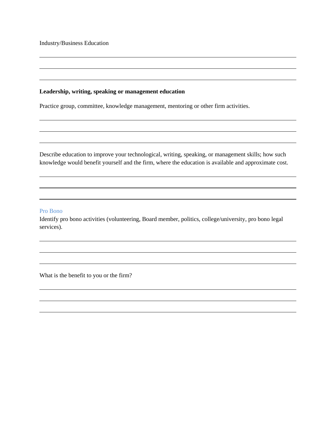Industry/Business Education

#### **Leadership, writing, speaking or management education**

Practice group, committee, knowledge management, mentoring or other firm activities.

Describe education to improve your technological, writing, speaking, or management skills; how such knowledge would benefit yourself and the firm, where the education is available and approximate cost.

#### Pro Bono

Identify pro bono activities (volunteering, Board member, politics, college/university, pro bono legal services).

What is the benefit to you or the firm?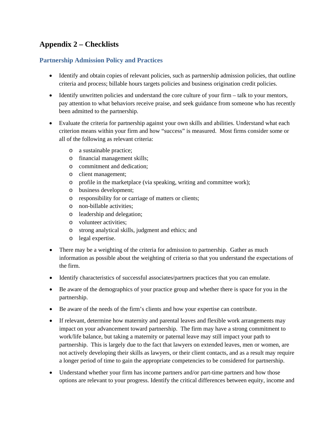# **Appendix 2 – Checklists**

## **Partnership Admission Policy and Practices**

- Identify and obtain copies of relevant policies, such as partnership admission policies, that outline criteria and process; billable hours targets policies and business origination credit policies.
- Identify unwritten policies and understand the core culture of your firm talk to your mentors, pay attention to what behaviors receive praise, and seek guidance from someone who has recently been admitted to the partnership.
- Evaluate the criteria for partnership against your own skills and abilities. Understand what each criterion means within your firm and how "success" is measured. Most firms consider some or all of the following as relevant criteria:
	- o a sustainable practice;
	- o financial management skills;
	- o commitment and dedication;
	- o client management;
	- o profile in the marketplace (via speaking, writing and committee work);
	- o business development;
	- o responsibility for or carriage of matters or clients;
	- o non-billable activities;
	- o leadership and delegation;
	- o volunteer activities;
	- o strong analytical skills, judgment and ethics; and
	- o legal expertise.
- There may be a weighting of the criteria for admission to partnership. Gather as much information as possible about the weighting of criteria so that you understand the expectations of the firm.
- Identify characteristics of successful associates/partners practices that you can emulate.
- Be aware of the demographics of your practice group and whether there is space for you in the partnership.
- Be aware of the needs of the firm's clients and how your expertise can contribute.
- If relevant, determine how maternity and parental leaves and flexible work arrangements may impact on your advancement toward partnership. The firm may have a strong commitment to work/life balance, but taking a maternity or paternal leave may still impact your path to partnership. This is largely due to the fact that lawyers on extended leaves, men or women, are not actively developing their skills as lawyers, or their client contacts, and as a result may require a longer period of time to gain the appropriate competencies to be considered for partnership.
- Understand whether your firm has income partners and/or part-time partners and how those options are relevant to your progress. Identify the critical differences between equity, income and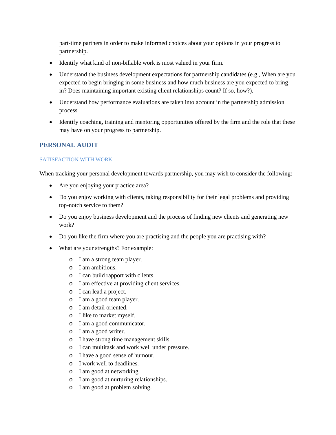part-time partners in order to make informed choices about your options in your progress to partnership.

- Identify what kind of non-billable work is most valued in your firm.
- Understand the business development expectations for partnership candidates (e.g., When are you expected to begin bringing in some business and how much business are you expected to bring in? Does maintaining important existing client relationships count? If so, how?).
- Understand how performance evaluations are taken into account in the partnership admission process.
- Identify coaching, training and mentoring opportunities offered by the firm and the role that these may have on your progress to partnership.

## **PERSONAL AUDIT**

#### SATISFACTION WITH WORK

When tracking your personal development towards partnership, you may wish to consider the following:

- Are you enjoying your practice area?
- Do you enjoy working with clients, taking responsibility for their legal problems and providing top-notch service to them?
- Do you enjoy business development and the process of finding new clients and generating new work?
- Do you like the firm where you are practising and the people you are practising with?
- What are your strengths? For example:
	- o I am a strong team player.
	- o I am ambitious.
	- o I can build rapport with clients.
	- o I am effective at providing client services.
	- o I can lead a project.
	- o I am a good team player.
	- o I am detail oriented.
	- o I like to market myself.
	- o I am a good communicator.
	- o I am a good writer.
	- o I have strong time management skills.
	- o I can multitask and work well under pressure.
	- o I have a good sense of humour.
	- o I work well to deadlines.
	- o I am good at networking.
	- o I am good at nurturing relationships.
	- o I am good at problem solving.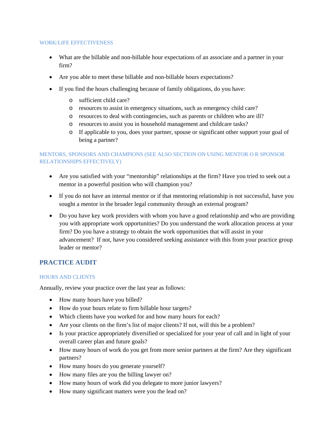#### WORK/LIFE EFFECTIVENESS

- What are the billable and non-billable hour expectations of an associate and a partner in your firm?
- Are you able to meet these billable and non-billable hours expectations?
- If you find the hours challenging because of family obligations, do you have:
	- o sufficient child care?
	- o resources to assist in emergency situations, such as emergency child care?
	- o resources to deal with contingencies, such as parents or children who are ill?
	- o resources to assist you in household management and childcare tasks?
	- o If applicable to you, does your partner, spouse or significant other support your goal of being a partner?

## MENTORS, SPONSORS AND CHAMPIONS (SEE ALSO SECTION ON USING MENTOR O R SPONSOR RELATIONSHIPS EFFECTIVELY)

- Are you satisfied with your "mentorship" relationships at the firm? Have you tried to seek out a mentor in a powerful position who will champion you?
- If you do not have an internal mentor or if that mentoring relationship is not successful, have you sought a mentor in the broader legal community through an external program?
- Do you have key work providers with whom you have a good relationship and who are providing you with appropriate work opportunities? Do you understand the work allocation process at your firm? Do you have a strategy to obtain the work opportunities that will assist in your advancement? If not, have you considered seeking assistance with this from your practice group leader or mentor?

## **PRACTICE AUDIT**

#### HOURS AND CLIENTS

Annually, review your practice over the last year as follows:

- How many hours have you billed?
- How do your hours relate to firm billable hour targets?
- Which clients have you worked for and how many hours for each?
- Are your clients on the firm's list of major clients? If not, will this be a problem?
- Is your practice appropriately diversified or specialized for your year of call and in light of your overall career plan and future goals?
- How many hours of work do you get from more senior partners at the firm? Are they significant partners?
- How many hours do you generate yourself?
- How many files are you the billing lawyer on?
- How many hours of work did you delegate to more junior lawyers?
- How many significant matters were you the lead on?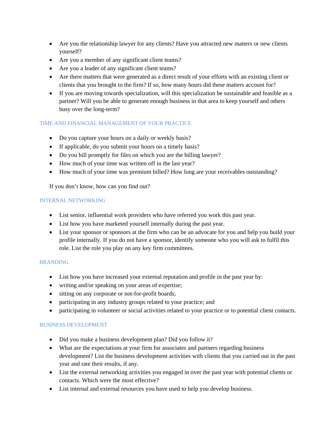- Are you the relationship lawyer for any clients? Have you attracted new matters or new clients yourself?
- Are you a member of any significant client teams?
- Are you a leader of any significant client teams?
- Are there matters that were generated as a direct result of your efforts with an existing client or clients that you brought to the firm? If so, how many hours did these matters account for?
- If you are moving towards specialization, will this specialization be sustainable and feasible as a partner? Will you be able to generate enough business in that area to keep yourself and others busy over the long-term?

#### TIME AND FINANCIAL MANAGEMENT OF YOUR PRACTICE

- Do you capture your hours on a daily or weekly basis?
- If applicable, do you submit your hours on a timely basis?
- Do you bill promptly for files on which you are the billing lawyer?
- How much of your time was written off in the last year?
- How much of your time was premium billed? How long are your receivables outstanding?

If you don't know, how can you find out?

#### INTERNAL NETWORKING

- List senior, influential work providers who have referred you work this past year.
- List how you have marketed yourself internally during the past year.
- List your sponsor or sponsors at the firm who can be an advocate for you and help you build your profile internally. If you do not have a sponsor, identify someone who you will ask to fulfil this role. List the role you play on any key firm committees.

#### BRANDING

- List how you have increased your external reputation and profile in the past year by:
- writing and/or speaking on your areas of expertise;
- sitting on any corporate or not-for-profit boards;
- participating in any industry groups related to your practice; and
- participating in volunteer or social activities related to your practice or to potential client contacts.

#### BUSINESS DEVELOPMENT

- Did you make a business development plan? Did you follow it?
- What are the expectations at your firm for associates and partners regarding business development? List the business development activities with clients that you carried out in the past year and rate their results, if any.
- List the external networking activities you engaged in over the past year with potential clients or contacts. Which were the most effective?
- List internal and external resources you have used to help you develop business.